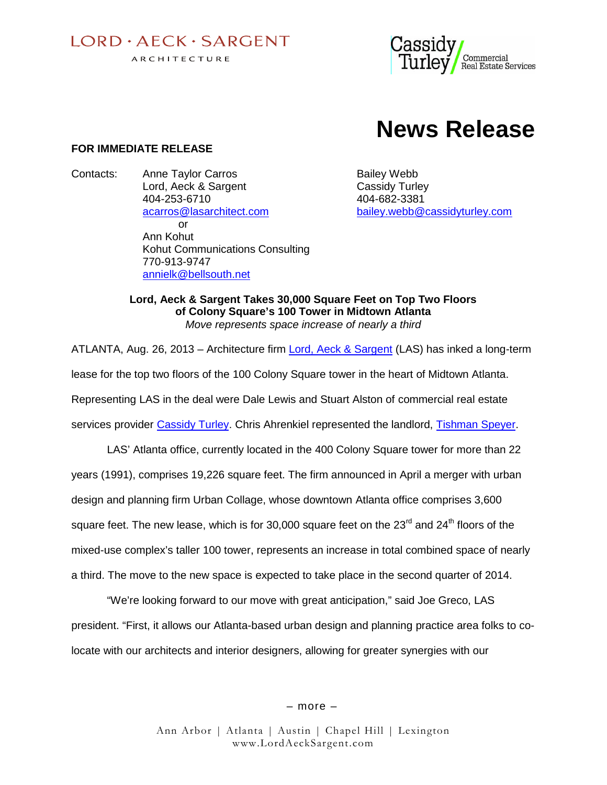$I$  ORD  $\cdot$  AECK  $\cdot$  SARGENT ARCHITECTURE



# **News Release**

#### **FOR IMMEDIATE RELEASE**

Contacts: Anne Taylor Carros **Bailey Webb** Lord, Aeck & Sargent Cassidy Turley 404-253-6710 404-682-3381 or Ann Kohut Kohut Communications Consulting 770-913-9747 annielk@bellsouth.net

acarros@lasarchitect.com bailey.webb@cassidyturley.com

**Lord, Aeck & Sargent Takes 30,000 Square Feet on Top Two Floors of Colony Square's 100 Tower in Midtown Atlanta** *Move represents space increase of nearly a third*

ATLANTA, Aug. 26, 2013 – Architecture firm Lord, Aeck & Sargent (LAS) has inked a long-term lease for the top two floors of the 100 Colony Square tower in the heart of Midtown Atlanta. Representing LAS in the deal were Dale Lewis and Stuart Alston of commercial real estate services provider Cassidy Turley. Chris Ahrenkiel represented the landlord, Tishman Speyer.

LAS' Atlanta office, currently located in the 400 Colony Square tower for more than 22 years (1991), comprises 19,226 square feet. The firm announced in April a merger with urban design and planning firm Urban Collage, whose downtown Atlanta office comprises 3,600 square feet. The new lease, which is for 30,000 square feet on the  $23<sup>rd</sup>$  and  $24<sup>th</sup>$  floors of the mixed-use complex's taller 100 tower, represents an increase in total combined space of nearly a third. The move to the new space is expected to take place in the second quarter of 2014.

"We're looking forward to our move with great anticipation," said Joe Greco, LAS president. "First, it allows our Atlanta-based urban design and planning practice area folks to colocate with our architects and interior designers, allowing for greater synergies with our

– more –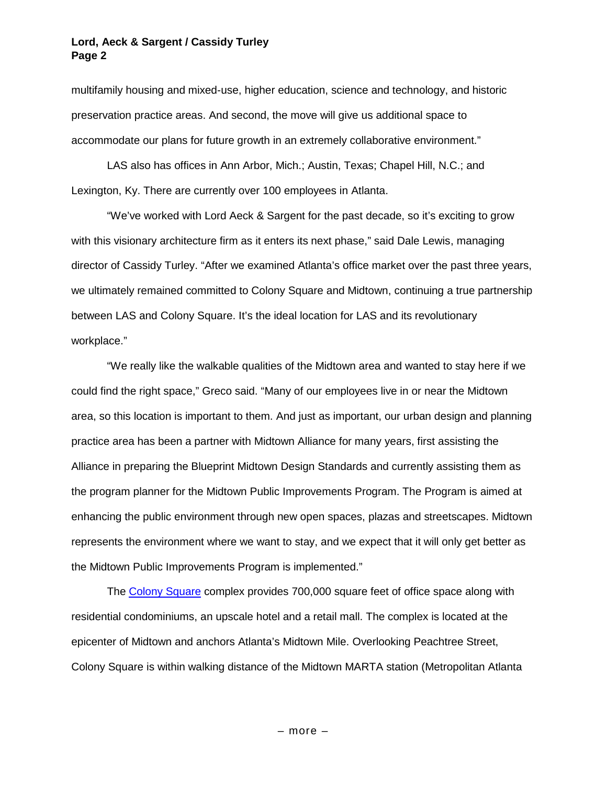#### **Lord, Aeck & Sargent / Cassidy Turley Page 2**

multifamily housing and mixed-use, higher education, science and technology, and historic preservation practice areas. And second, the move will give us additional space to accommodate our plans for future growth in an extremely collaborative environment."

LAS also has offices in Ann Arbor, Mich.; Austin, Texas; Chapel Hill, N.C.; and Lexington, Ky. There are currently over 100 employees in Atlanta.

"We've worked with Lord Aeck & Sargent for the past decade, so it's exciting to grow with this visionary architecture firm as it enters its next phase," said Dale Lewis, managing director of Cassidy Turley. "After we examined Atlanta's office market over the past three years, we ultimately remained committed to Colony Square and Midtown, continuing a true partnership between LAS and Colony Square. It's the ideal location for LAS and its revolutionary workplace."

"We really like the walkable qualities of the Midtown area and wanted to stay here if we could find the right space," Greco said. "Many of our employees live in or near the Midtown area, so this location is important to them. And just as important, our urban design and planning practice area has been a partner with Midtown Alliance for many years, first assisting the Alliance in preparing the Blueprint Midtown Design Standards and currently assisting them as the program planner for the Midtown Public Improvements Program. The Program is aimed at enhancing the public environment through new open spaces, plazas and streetscapes. Midtown represents the environment where we want to stay, and we expect that it will only get better as the Midtown Public Improvements Program is implemented."

The Colony Square complex provides 700,000 square feet of office space along with residential condominiums, an upscale hotel and a retail mall. The complex is located at the epicenter of Midtown and anchors Atlanta's Midtown Mile. Overlooking Peachtree Street, Colony Square is within walking distance of the Midtown MARTA station (Metropolitan Atlanta